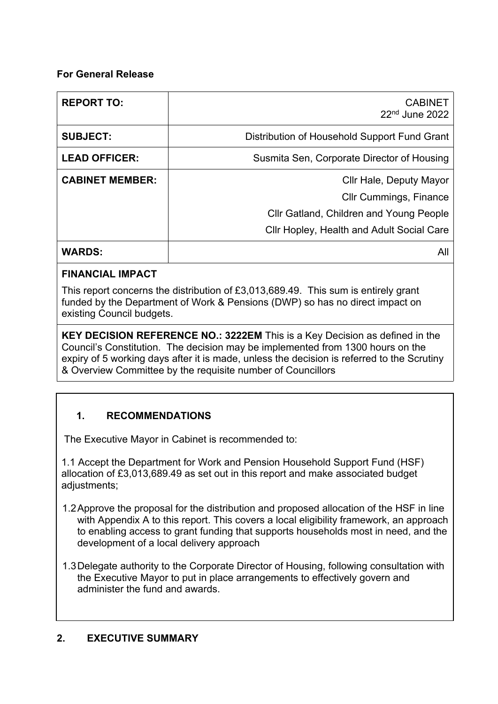# **For General Release**

| <b>REPORT TO:</b>      | <b>CABINET</b><br>$22nd$ June 2022             |
|------------------------|------------------------------------------------|
| <b>SUBJECT:</b>        | Distribution of Household Support Fund Grant   |
| <b>LEAD OFFICER:</b>   | Susmita Sen, Corporate Director of Housing     |
| <b>CABINET MEMBER:</b> | Cllr Hale, Deputy Mayor                        |
|                        | <b>Cllr Cummings, Finance</b>                  |
|                        | <b>CIIr Gatland, Children and Young People</b> |
|                        | Cllr Hopley, Health and Adult Social Care      |
| <b>WARDS:</b>          | All                                            |

# **FINANCIAL IMPACT**

This report concerns the distribution of £3,013,689.49. This sum is entirely grant funded by the Department of Work & Pensions (DWP) so has no direct impact on existing Council budgets.

**KEY DECISION REFERENCE NO.: 3222EM** This is a Key Decision as defined in the Council's Constitution. The decision may be implemented from 1300 hours on the expiry of 5 working days after it is made, unless the decision is referred to the Scrutiny & Overview Committee by the requisite number of Councillors

# **1. RECOMMENDATIONS**

The Executive Mayor in Cabinet is recommended to:

1.1 Accept the Department for Work and Pension Household Support Fund (HSF) allocation of £3,013,689.49 as set out in this report and make associated budget adjustments;

- 1.2Approve the proposal for the distribution and proposed allocation of the HSF in line with Appendix A to this report. This covers a local eligibility framework, an approach to enabling access to grant funding that supports households most in need, and the development of a local delivery approach
- 1.3Delegate authority to the Corporate Director of Housing, following consultation with the Executive Mayor to put in place arrangements to effectively govern and administer the fund and awards.

# **2. EXECUTIVE SUMMARY**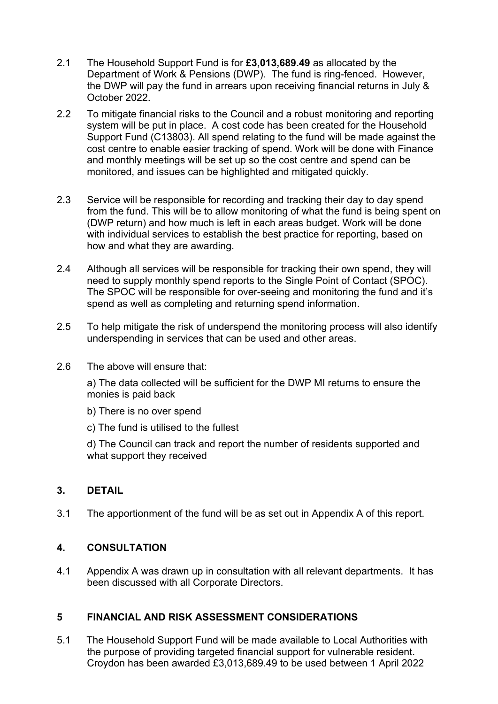- 2.1 The Household Support Fund is for **£3,013,689.49** as allocated by the Department of Work & Pensions (DWP). The fund is ring-fenced. However, the DWP will pay the fund in arrears upon receiving financial returns in July & October 2022.
- 2.2 To mitigate financial risks to the Council and a robust monitoring and reporting system will be put in place. A cost code has been created for the Household Support Fund (C13803). All spend relating to the fund will be made against the cost centre to enable easier tracking of spend. Work will be done with Finance and monthly meetings will be set up so the cost centre and spend can be monitored, and issues can be highlighted and mitigated quickly.
- 2.3 Service will be responsible for recording and tracking their day to day spend from the fund. This will be to allow monitoring of what the fund is being spent on (DWP return) and how much is left in each areas budget. Work will be done with individual services to establish the best practice for reporting, based on how and what they are awarding.
- 2.4 Although all services will be responsible for tracking their own spend, they will need to supply monthly spend reports to the Single Point of Contact (SPOC). The SPOC will be responsible for over-seeing and monitoring the fund and it's spend as well as completing and returning spend information.
- 2.5 To help mitigate the risk of underspend the monitoring process will also identify underspending in services that can be used and other areas.
- 2.6 The above will ensure that:

a) The data collected will be sufficient for the DWP MI returns to ensure the monies is paid back

- b) There is no over spend
- c) The fund is utilised to the fullest

d) The Council can track and report the number of residents supported and what support they received

# **3. DETAIL**

3.1 The apportionment of the fund will be as set out in Appendix A of this report.

# **4. CONSULTATION**

4.1 Appendix A was drawn up in consultation with all relevant departments. It has been discussed with all Corporate Directors.

# **5 FINANCIAL AND RISK ASSESSMENT CONSIDERATIONS**

5.1 The Household Support Fund will be made available to Local Authorities with the purpose of providing targeted financial support for vulnerable resident. Croydon has been awarded £3,013,689.49 to be used between 1 April 2022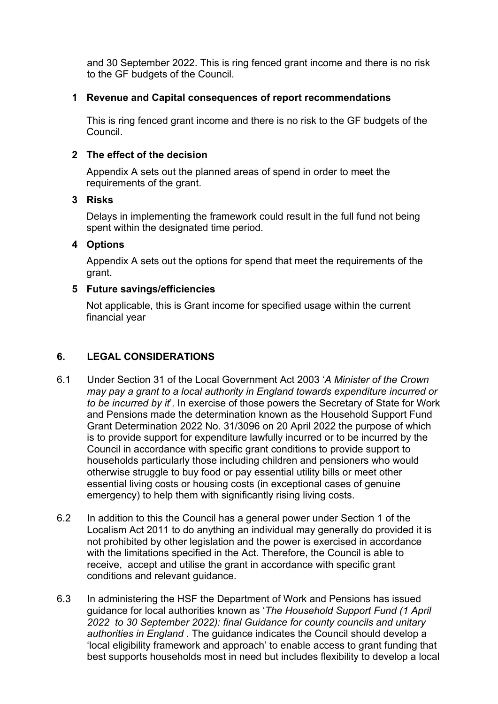and 30 September 2022. This is ring fenced grant income and there is no risk to the GF budgets of the Council.

#### **1 Revenue and Capital consequences of report recommendations**

This is ring fenced grant income and there is no risk to the GF budgets of the Council.

#### **2 The effect of the decision**

Appendix A sets out the planned areas of spend in order to meet the requirements of the grant.

#### **3 Risks**

Delays in implementing the framework could result in the full fund not being spent within the designated time period.

#### **4 Options**

Appendix A sets out the options for spend that meet the requirements of the grant.

#### **5 Future savings/efficiencies**

Not applicable, this is Grant income for specified usage within the current financial year

# **6. LEGAL CONSIDERATIONS**

- 6.1 Under Section 31 of the Local Government Act 2003 '*A Minister of the Crown may pay a grant to a local authority in England towards expenditure incurred or to be incurred by it*'. In exercise of those powers the Secretary of State for Work and Pensions made the determination known as the Household Support Fund Grant Determination 2022 No. 31/3096 on 20 April 2022 the purpose of which is to provide support for expenditure lawfully incurred or to be incurred by the Council in accordance with specific grant conditions to provide support to households particularly those including children and pensioners who would otherwise struggle to buy food or pay essential utility bills or meet other essential living costs or housing costs (in exceptional cases of genuine emergency) to help them with significantly rising living costs.
- 6.2 In addition to this the Council has a general power under Section 1 of the Localism Act 2011 to do anything an individual may generally do provided it is not prohibited by other legislation and the power is exercised in accordance with the limitations specified in the Act. Therefore, the Council is able to receive, accept and utilise the grant in accordance with specific grant conditions and relevant guidance.
- 6.3 In administering the HSF the Department of Work and Pensions has issued guidance for local authorities known as '*The Household Support Fund (1 April 2022 to 30 September 2022): final Guidance for county councils and unitary authorities in England* . The guidance indicates the Council should develop a 'local eligibility framework and approach' to enable access to grant funding that best supports households most in need but includes flexibility to develop a local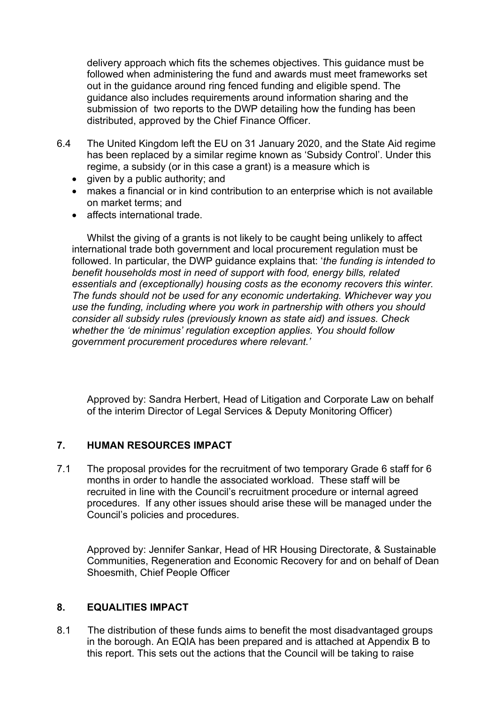delivery approach which fits the schemes objectives. This guidance must be followed when administering the fund and awards must meet frameworks set out in the guidance around ring fenced funding and eligible spend. The guidance also includes requirements around information sharing and the submission of two reports to the DWP detailing how the funding has been distributed, approved by the Chief Finance Officer.

- 6.4 The United Kingdom left the EU on 31 January 2020, and the State Aid regime has been replaced by a similar regime known as 'Subsidy Control'. Under this regime, a subsidy (or in this case a grant) is a measure which is
	- $\bullet$  given by a public authority; and
	- makes a financial or in kind contribution to an enterprise which is not available on market terms; and
	- affects international trade.

Whilst the giving of a grants is not likely to be caught being unlikely to affect international trade both government and local procurement regulation must be followed. In particular, the DWP guidance explains that: '*the funding is intended to benefit households most in need of support with food, energy bills, related essentials and (exceptionally) housing costs as the economy recovers this winter. The funds should not be used for any economic undertaking. Whichever way you use the funding, including where you work in partnership with others you should consider all subsidy rules (previously known as state aid) and issues. Check whether the 'de minimus' regulation exception applies. You should follow government procurement procedures where relevant.'*

Approved by: Sandra Herbert, Head of Litigation and Corporate Law on behalf of the interim Director of Legal Services & Deputy Monitoring Officer)

# **7. HUMAN RESOURCES IMPACT**

7.1 The proposal provides for the recruitment of two temporary Grade 6 staff for 6 months in order to handle the associated workload. These staff will be recruited in line with the Council's recruitment procedure or internal agreed procedures. If any other issues should arise these will be managed under the Council's policies and procedures.

Approved by: Jennifer Sankar, Head of HR Housing Directorate, & Sustainable Communities, Regeneration and Economic Recovery for and on behalf of Dean Shoesmith, Chief People Officer

# **8. EQUALITIES IMPACT**

8.1 The distribution of these funds aims to benefit the most disadvantaged groups in the borough. An EQIA has been prepared and is attached at Appendix B to this report. This sets out the actions that the Council will be taking to raise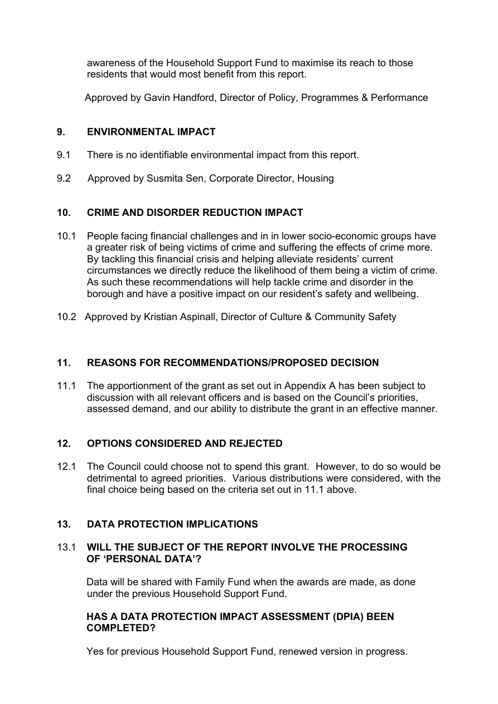awareness of the Household Support Fund to maximise its reach to those residents that would most benefit from this report.

Approved by Gavin Handford, Director of Policy, Programmes & Performance

#### **9. ENVIRONMENTAL IMPACT**

- 9.1 There is no identifiable environmental impact from this report.
- 9.2 Approved by Susmita Sen, Corporate Director, Housing

# **10. CRIME AND DISORDER REDUCTION IMPACT**

- 10.1 People facing financial challenges and in in lower socio-economic groups have a greater risk of being victims of crime and suffering the effects of crime more. By tackling this financial crisis and helping alleviate residents' current circumstances we directly reduce the likelihood of them being a victim of crime. As such these recommendations will help tackle crime and disorder in the borough and have a positive impact on our resident's safety and wellbeing.
- 10.2 Approved by Kristian Aspinall, Director of Culture & Community Safety

# **11. REASONS FOR RECOMMENDATIONS/PROPOSED DECISION**

11.1 The apportionment of the grant as set out in Appendix A has been subject to discussion with all relevant officers and is based on the Council's priorities, assessed demand, and our ability to distribute the grant in an effective manner.

# **12. OPTIONS CONSIDERED AND REJECTED**

12.1 The Council could choose not to spend this grant. However, to do so would be detrimental to agreed priorities. Various distributions were considered, with the final choice being based on the criteria set out in 11.1 above.

# **13. DATA PROTECTION IMPLICATIONS**

#### 13.1 **WILL THE SUBJECT OF THE REPORT INVOLVE THE PROCESSING OF 'PERSONAL DATA'?**

Data will be shared with Family Fund when the awards are made, as done under the previous Household Support Fund.

#### **HAS A DATA PROTECTION IMPACT ASSESSMENT (DPIA) BEEN COMPLETED?**

Yes for previous Household Support Fund, renewed version in progress.